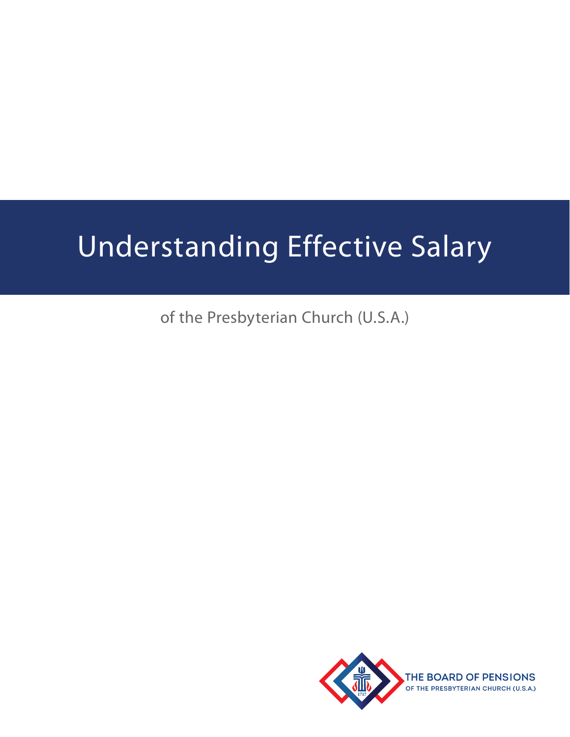# Understanding Effective Salary

of the Presbyterian Church (U.S.A.)

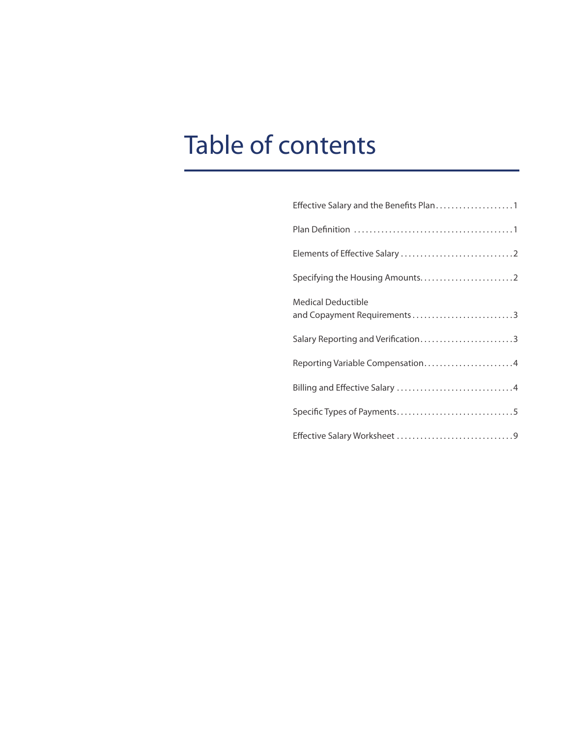# Table of contents

| <b>Medical Deductible</b><br>and Copayment Requirements 3 |
|-----------------------------------------------------------|
| Salary Reporting and Verification3                        |
| Reporting Variable Compensation4                          |
|                                                           |
|                                                           |
|                                                           |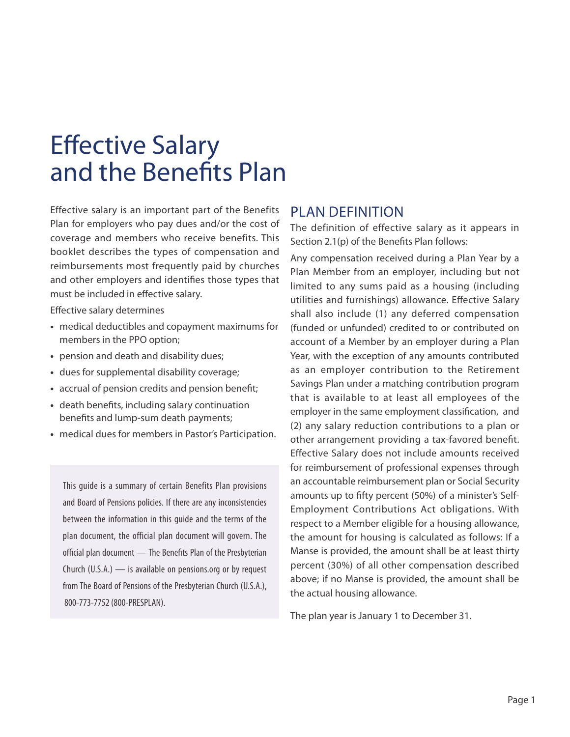# Effective Salary and the Benefits Plan

Effective salary is an important part of the Benefits Plan for employers who pay dues and/or the cost of coverage and members who receive benefits. This booklet describes the types of compensation and reimbursements most frequently paid by churches and other employers and identifies those types that must be included in effective salary.

Effective salary determines

- **•** medical deductibles and copayment maximums for members in the PPO option;
- **•** pension and death and disability dues;
- **•** dues for supplemental disability coverage;
- **•** accrual of pension credits and pension benefit;
- **•** death benefits, including salary continuation benefits and lump-sum death payments;
- **•** medical dues for members in Pastor's Participation.

This guide is a summary of certain Benefits Plan provisions and Board of Pensions policies. If there are any inconsistencies between the information in this guide and the terms of the plan document, the official plan document will govern. The official plan document — The Benefits Plan of the Presbyterian Church (U.S.A.) — is available on pensions.org or by request from The Board of Pensions of the Presbyterian Church (U.S.A.), 800-773-7752 (800-PRESPLAN).

#### PLAN DEFINITION

The definition of effective salary as it appears in Section 2.1(p) of the Benefits Plan follows:

Any compensation received during a Plan Year by a Plan Member from an employer, including but not limited to any sums paid as a housing (including utilities and furnishings) allowance. Effective Salary shall also include (1) any deferred compensation (funded or unfunded) credited to or contributed on account of a Member by an employer during a Plan Year, with the exception of any amounts contributed as an employer contribution to the Retirement Savings Plan under a matching contribution program that is available to at least all employees of the employer in the same employment classification, and (2) any salary reduction contributions to a plan or other arrangement providing a tax-favored benefit. Effective Salary does not include amounts received for reimbursement of professional expenses through an accountable reimbursement plan or Social Security amounts up to fifty percent (50%) of a minister's Self-Employment Contributions Act obligations. With respect to a Member eligible for a housing allowance, the amount for housing is calculated as follows: If a Manse is provided, the amount shall be at least thirty percent (30%) of all other compensation described above; if no Manse is provided, the amount shall be the actual housing allowance.

The plan year is January 1 to December 31.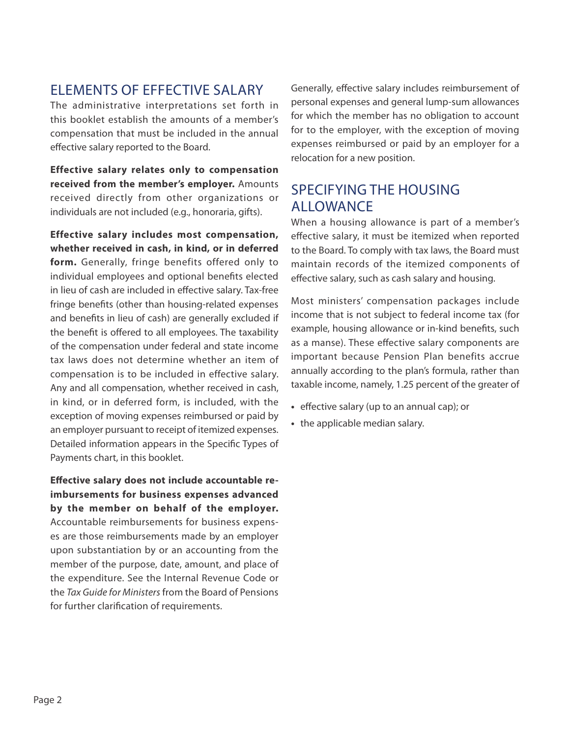#### ELEMENTS OF EFFECTIVE SALARY

The administrative interpretations set forth in this booklet establish the amounts of a member's compensation that must be included in the annual effective salary reported to the Board.

**Effective salary relates only to compensation received from the member's employer.** Amounts received directly from other organizations or individuals are not included (e.g., honoraria, gifts).

**Effective salary includes most compensation, whether received in cash, in kind, or in deferred form.** Generally, fringe benefits offered only to individual employees and optional benefits elected in lieu of cash are included in effective salary. Tax-free fringe benefits (other than housing-related expenses and benefits in lieu of cash) are generally excluded if the benefit is offered to all employees. The taxability of the compensation under federal and state income tax laws does not determine whether an item of compensation is to be included in effective salary. Any and all compensation, whether received in cash, in kind, or in deferred form, is included, with the exception of moving expenses reimbursed or paid by an employer pursuant to receipt of itemized expenses. Detailed information appears in the Specific Types of Payments chart, in this booklet.

**Effective salary does not include accountable reimbursements for business expenses advanced by the member on behalf of the employer.** Accountable reimbursements for business expenses are those reimbursements made by an employer upon substantiation by or an accounting from the member of the purpose, date, amount, and place of the expenditure. See the Internal Revenue Code or the *Tax Guide for Ministers* from the Board of Pensions for further clarification of requirements.

Generally, effective salary includes reimbursement of personal expenses and general lump-sum allowances for which the member has no obligation to account for to the employer, with the exception of moving expenses reimbursed or paid by an employer for a relocation for a new position.

#### SPECIFYING THE HOUSING ALLOWANCE

When a housing allowance is part of a member's effective salary, it must be itemized when reported to the Board. To comply with tax laws, the Board must maintain records of the itemized components of effective salary, such as cash salary and housing.

Most ministers' compensation packages include income that is not subject to federal income tax (for example, housing allowance or in-kind benefits, such as a manse). These effective salary components are important because Pension Plan benefits accrue annually according to the plan's formula, rather than taxable income, namely, 1.25 percent of the greater of

- **•** effective salary (up to an annual cap); or
- **•** the applicable median salary.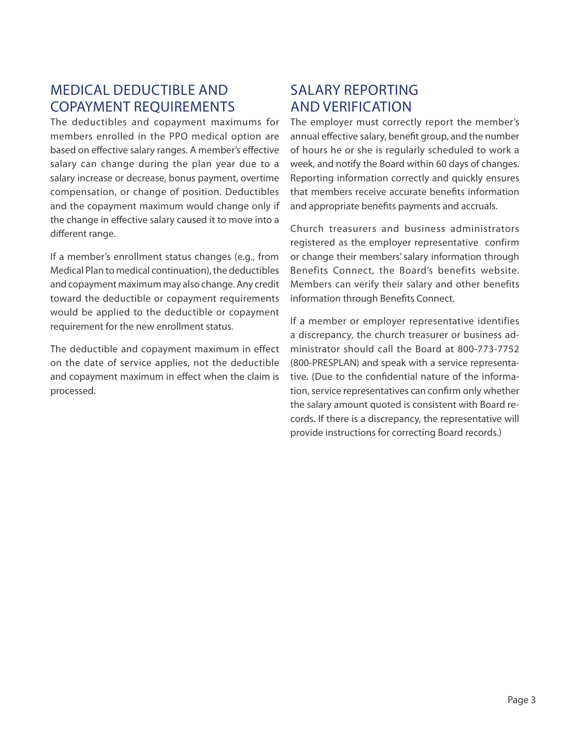### MEDICAL DEDUCTIBLE AND COPAYMENT REQUIREMENTS

The deductibles and copayment maximums for members enrolled in the PPO medical option are based on effective salary ranges. A member's effective salary can change during the plan year due to a salary increase or decrease, bonus payment, overtime compensation, or change of position. Deductibles and the copayment maximum would change only if the change in effective salary caused it to move into a different range.

If a member's enrollment status changes (e.g., from Medical Plan to medical continuation), the deductibles and copayment maximum may also change. Any credit toward the deductible or copayment requirements would be applied to the deductible or copayment requirement for the new enrollment status.

The deductible and copayment maximum in effect on the date of service applies, not the deductible and copayment maximum in effect when the claim is processed.

### SALARY REPORTING AND VERIFICATION

The employer must correctly report the member's annual effective salary, benefit group, and the number of hours he or she is regularly scheduled to work a week, and notify the Board within 60 days of changes. Reporting information correctly and quickly ensures that members receive accurate benefits information and appropriate benefits payments and accruals.

Church treasurers and business administrators registered as the employer representative confirm or change their members' salary information through Benefits Connect, the Board's benefits website. Members can verify their salary and other benefits information through Benefits Connect.

If a member or employer representative identifies a discrepancy, the church treasurer or business administrator should call the Board at 800-773-7752 (800-PRESPLAN) and speak with a service representative. (Due to the confidential nature of the information, service representatives can confirm only whether the salary amount quoted is consistent with Board records. If there is a discrepancy, the representative will provide instructions for correcting Board records.)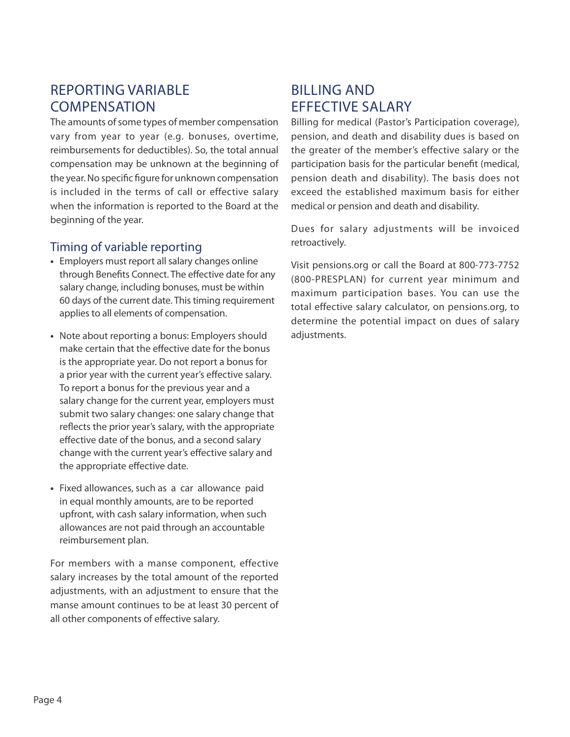#### REPORTING VARIABLE **COMPENSATION**

The amounts of some types of member compensation vary from year to year (e.g. bonuses, overtime, reimbursements for deductibles). So, the total annual compensation may be unknown at the beginning of the year. No specific figure for unknown compensation is included in the terms of call or effective salary when the information is reported to the Board at the beginning of the year.

#### Timing of variable reporting

- **•** Employers must report all salary changes online through Benefits Connect. The effective date for any salary change, including bonuses, must be within 60 days of the current date. This timing requirement applies to all elements of compensation.
- **•** Note about reporting a bonus: Employers should make certain that the effective date for the bonus is the appropriate year. Do not report a bonus for a prior year with the current year's effective salary. To report a bonus for the previous year and a salary change for the current year, employers must submit two salary changes: one salary change that reflects the prior year's salary, with the appropriate effective date of the bonus, and a second salary change with the current year's effective salary and the appropriate effective date.
- **•** Fixed allowances, such as a car allowance paid in equal monthly amounts, are to be reported upfront, with cash salary information, when such allowances are not paid through an accountable reimbursement plan.

For members with a manse component, effective salary increases by the total amount of the reported adjustments, with an adjustment to ensure that the manse amount continues to be at least 30 percent of all other components of effective salary.

### BILLING AND EFFECTIVE SALARY

Billing for medical (Pastor's Participation coverage), pension, and death and disability dues is based on the greater of the member's effective salary or the participation basis for the particular benefit (medical, pension death and disability). The basis does not exceed the established maximum basis for either medical or pension and death and disability.

Dues for salary adjustments will be invoiced retroactively.

Visit pensions.org or call the Board at 800-773-7752 (800-PRESPLAN) for current year minimum and maximum participation bases. You can use the total effective salary calculator, on pensions.org, to determine the potential impact on dues of salary adjustments.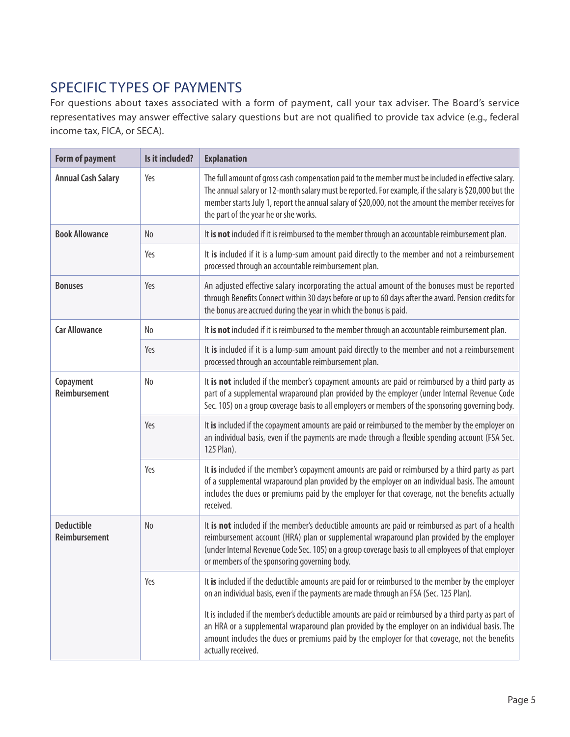## SPECIFIC TYPES OF PAYMENTS

For questions about taxes associated with a form of payment, call your tax adviser. The Board's service representatives may answer effective salary questions but are not qualified to provide tax advice (e.g., federal income tax, FICA, or SECA).

| <b>Form of payment</b>             | Is it included? | <b>Explanation</b>                                                                                                                                                                                                                                                                                                                                          |
|------------------------------------|-----------------|-------------------------------------------------------------------------------------------------------------------------------------------------------------------------------------------------------------------------------------------------------------------------------------------------------------------------------------------------------------|
| <b>Annual Cash Salary</b>          | Yes             | The full amount of gross cash compensation paid to the member must be included in effective salary.<br>The annual salary or 12-month salary must be reported. For example, if the salary is \$20,000 but the<br>member starts July 1, report the annual salary of \$20,000, not the amount the member receives for<br>the part of the year he or she works. |
| <b>Book Allowance</b>              | No              | It is not included if it is reimbursed to the member through an accountable reimbursement plan.                                                                                                                                                                                                                                                             |
|                                    | Yes             | It is included if it is a lump-sum amount paid directly to the member and not a reimbursement<br>processed through an accountable reimbursement plan.                                                                                                                                                                                                       |
| <b>Bonuses</b>                     | Yes             | An adjusted effective salary incorporating the actual amount of the bonuses must be reported<br>through Benefits Connect within 30 days before or up to 60 days after the award. Pension credits for<br>the bonus are accrued during the year in which the bonus is paid.                                                                                   |
| <b>Car Allowance</b>               | No              | It is not included if it is reimbursed to the member through an accountable reimbursement plan.                                                                                                                                                                                                                                                             |
|                                    | Yes             | It is included if it is a lump-sum amount paid directly to the member and not a reimbursement<br>processed through an accountable reimbursement plan.                                                                                                                                                                                                       |
| Copayment<br>Reimbursement         | No              | It is not included if the member's copayment amounts are paid or reimbursed by a third party as<br>part of a supplemental wraparound plan provided by the employer (under Internal Revenue Code<br>Sec. 105) on a group coverage basis to all employers or members of the sponsoring governing body.                                                        |
|                                    | Yes             | It is included if the copayment amounts are paid or reimbursed to the member by the employer on<br>an individual basis, even if the payments are made through a flexible spending account (FSA Sec.<br>125 Plan).                                                                                                                                           |
|                                    | Yes             | It is included if the member's copayment amounts are paid or reimbursed by a third party as part<br>of a supplemental wraparound plan provided by the employer on an individual basis. The amount<br>includes the dues or premiums paid by the employer for that coverage, not the benefits actually<br>received.                                           |
| <b>Deductible</b><br>Reimbursement | No              | It is not included if the member's deductible amounts are paid or reimbursed as part of a health<br>reimbursement account (HRA) plan or supplemental wraparound plan provided by the employer<br>(under Internal Revenue Code Sec. 105) on a group coverage basis to all employees of that employer<br>or members of the sponsoring governing body.         |
|                                    | Yes             | It is included if the deductible amounts are paid for or reimbursed to the member by the employer<br>on an individual basis, even if the payments are made through an FSA (Sec. 125 Plan).                                                                                                                                                                  |
|                                    |                 | It is included if the member's deductible amounts are paid or reimbursed by a third party as part of<br>an HRA or a supplemental wraparound plan provided by the employer on an individual basis. The<br>amount includes the dues or premiums paid by the employer for that coverage, not the benefits<br>actually received.                                |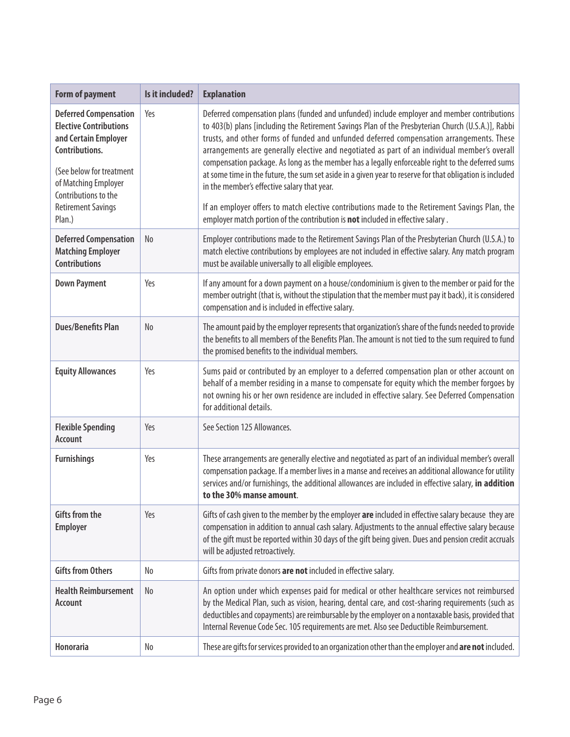| <b>Form of payment</b>                                                                                                                                                                                                     | Is it included? | <b>Explanation</b>                                                                                                                                                                                                                                                                                                                                                                                                                                                                                                                                                                                                                                                                                                                                                                                                                                |
|----------------------------------------------------------------------------------------------------------------------------------------------------------------------------------------------------------------------------|-----------------|---------------------------------------------------------------------------------------------------------------------------------------------------------------------------------------------------------------------------------------------------------------------------------------------------------------------------------------------------------------------------------------------------------------------------------------------------------------------------------------------------------------------------------------------------------------------------------------------------------------------------------------------------------------------------------------------------------------------------------------------------------------------------------------------------------------------------------------------------|
| <b>Deferred Compensation</b><br><b>Elective Contributions</b><br>and Certain Employer<br>Contributions.<br>(See below for treatment<br>of Matching Employer<br>Contributions to the<br><b>Retirement Savings</b><br>Plan.) | Yes             | Deferred compensation plans (funded and unfunded) include employer and member contributions<br>to 403(b) plans [including the Retirement Savings Plan of the Presbyterian Church (U.S.A.)], Rabbi<br>trusts, and other forms of funded and unfunded deferred compensation arrangements. These<br>arrangements are generally elective and negotiated as part of an individual member's overall<br>compensation package. As long as the member has a legally enforceable right to the deferred sums<br>at some time in the future, the sum set aside in a given year to reserve for that obligation is included<br>in the member's effective salary that year.<br>If an employer offers to match elective contributions made to the Retirement Savings Plan, the<br>employer match portion of the contribution is not included in effective salary. |
| <b>Deferred Compensation</b><br><b>Matching Employer</b><br><b>Contributions</b>                                                                                                                                           | No              | Employer contributions made to the Retirement Savings Plan of the Presbyterian Church (U.S.A.) to<br>match elective contributions by employees are not included in effective salary. Any match program<br>must be available universally to all eligible employees.                                                                                                                                                                                                                                                                                                                                                                                                                                                                                                                                                                                |
| <b>Down Payment</b>                                                                                                                                                                                                        | Yes             | If any amount for a down payment on a house/condominium is given to the member or paid for the<br>member outright (that is, without the stipulation that the member must pay it back), it is considered<br>compensation and is included in effective salary.                                                                                                                                                                                                                                                                                                                                                                                                                                                                                                                                                                                      |
| <b>Dues/Benefits Plan</b>                                                                                                                                                                                                  | No              | The amount paid by the employer represents that organization's share of the funds needed to provide<br>the benefits to all members of the Benefits Plan. The amount is not tied to the sum required to fund<br>the promised benefits to the individual members.                                                                                                                                                                                                                                                                                                                                                                                                                                                                                                                                                                                   |
| <b>Equity Allowances</b>                                                                                                                                                                                                   | Yes             | Sums paid or contributed by an employer to a deferred compensation plan or other account on<br>behalf of a member residing in a manse to compensate for equity which the member forgoes by<br>not owning his or her own residence are included in effective salary. See Deferred Compensation<br>for additional details.                                                                                                                                                                                                                                                                                                                                                                                                                                                                                                                          |
| <b>Flexible Spending</b><br>Account                                                                                                                                                                                        | Yes             | See Section 125 Allowances.                                                                                                                                                                                                                                                                                                                                                                                                                                                                                                                                                                                                                                                                                                                                                                                                                       |
| <b>Furnishings</b>                                                                                                                                                                                                         | Yes             | These arrangements are generally elective and negotiated as part of an individual member's overall<br>compensation package. If a member lives in a manse and receives an additional allowance for utility<br>services and/or furnishings, the additional allowances are included in effective salary, in addition<br>to the 30% manse amount.                                                                                                                                                                                                                                                                                                                                                                                                                                                                                                     |
| Gifts from the<br><b>Employer</b>                                                                                                                                                                                          | Yes             | Gifts of cash given to the member by the employer are included in effective salary because they are<br>compensation in addition to annual cash salary. Adjustments to the annual effective salary because<br>of the gift must be reported within 30 days of the gift being given. Dues and pension credit accruals<br>will be adjusted retroactively.                                                                                                                                                                                                                                                                                                                                                                                                                                                                                             |
| <b>Gifts from Others</b>                                                                                                                                                                                                   | No              | Gifts from private donors are not included in effective salary.                                                                                                                                                                                                                                                                                                                                                                                                                                                                                                                                                                                                                                                                                                                                                                                   |
| <b>Health Reimbursement</b><br><b>Account</b>                                                                                                                                                                              | No              | An option under which expenses paid for medical or other healthcare services not reimbursed<br>by the Medical Plan, such as vision, hearing, dental care, and cost-sharing requirements (such as<br>deductibles and copayments) are reimbursable by the employer on a nontaxable basis, provided that<br>Internal Revenue Code Sec. 105 requirements are met. Also see Deductible Reimbursement.                                                                                                                                                                                                                                                                                                                                                                                                                                                  |
| Honoraria                                                                                                                                                                                                                  | No              | These are gifts for services provided to an organization other than the employer and are not included.                                                                                                                                                                                                                                                                                                                                                                                                                                                                                                                                                                                                                                                                                                                                            |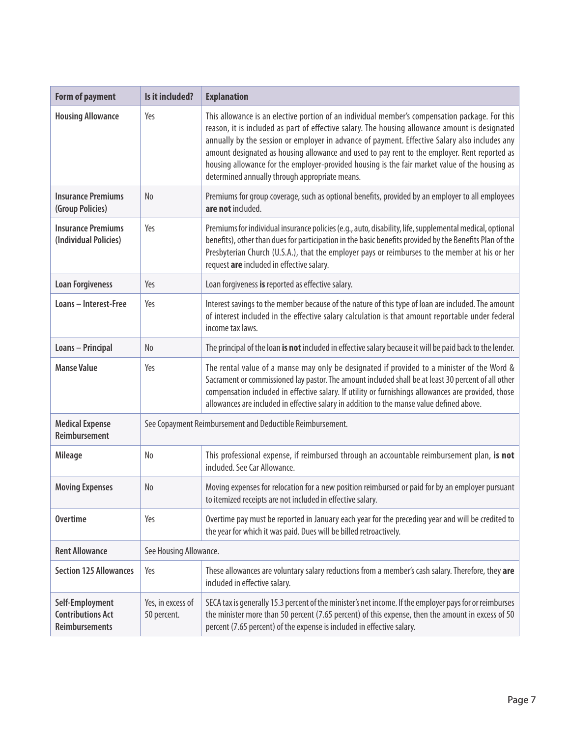| <b>Form of payment</b>                                               | Is it included?                                           | <b>Explanation</b>                                                                                                                                                                                                                                                                                                                                                                                                                                                                                                                                     |
|----------------------------------------------------------------------|-----------------------------------------------------------|--------------------------------------------------------------------------------------------------------------------------------------------------------------------------------------------------------------------------------------------------------------------------------------------------------------------------------------------------------------------------------------------------------------------------------------------------------------------------------------------------------------------------------------------------------|
| <b>Housing Allowance</b>                                             | Yes                                                       | This allowance is an elective portion of an individual member's compensation package. For this<br>reason, it is included as part of effective salary. The housing allowance amount is designated<br>annually by the session or employer in advance of payment. Effective Salary also includes any<br>amount designated as housing allowance and used to pay rent to the employer. Rent reported as<br>housing allowance for the employer-provided housing is the fair market value of the housing as<br>determined annually through appropriate means. |
| <b>Insurance Premiums</b><br>(Group Policies)                        | N <sub>o</sub>                                            | Premiums for group coverage, such as optional benefits, provided by an employer to all employees<br>are not included.                                                                                                                                                                                                                                                                                                                                                                                                                                  |
| <b>Insurance Premiums</b><br>(Individual Policies)                   | Yes                                                       | Premiums for individual insurance policies (e.g., auto, disability, life, supplemental medical, optional<br>benefits), other than dues for participation in the basic benefits provided by the Benefits Plan of the<br>Presbyterian Church (U.S.A.), that the employer pays or reimburses to the member at his or her<br>request are included in effective salary.                                                                                                                                                                                     |
| <b>Loan Forgiveness</b>                                              | Yes                                                       | Loan forgiveness is reported as effective salary.                                                                                                                                                                                                                                                                                                                                                                                                                                                                                                      |
| Loans - Interest-Free                                                | Yes                                                       | Interest savings to the member because of the nature of this type of loan are included. The amount<br>of interest included in the effective salary calculation is that amount reportable under federal<br>income tax laws.                                                                                                                                                                                                                                                                                                                             |
| Loans - Principal                                                    | N <sub>o</sub>                                            | The principal of the loan is not included in effective salary because it will be paid back to the lender.                                                                                                                                                                                                                                                                                                                                                                                                                                              |
| <b>Manse Value</b>                                                   | Yes                                                       | The rental value of a manse may only be designated if provided to a minister of the Word &<br>Sacrament or commissioned lay pastor. The amount included shall be at least 30 percent of all other<br>compensation included in effective salary. If utility or furnishings allowances are provided, those<br>allowances are included in effective salary in addition to the manse value defined above.                                                                                                                                                  |
| <b>Medical Expense</b><br><b>Reimbursement</b>                       | See Copayment Reimbursement and Deductible Reimbursement. |                                                                                                                                                                                                                                                                                                                                                                                                                                                                                                                                                        |
| <b>Mileage</b>                                                       | No                                                        | This professional expense, if reimbursed through an accountable reimbursement plan, is not<br>included. See Car Allowance.                                                                                                                                                                                                                                                                                                                                                                                                                             |
| <b>Moving Expenses</b>                                               | N <sub>o</sub>                                            | Moving expenses for relocation for a new position reimbursed or paid for by an employer pursuant<br>to itemized receipts are not included in effective salary.                                                                                                                                                                                                                                                                                                                                                                                         |
| <b>Overtime</b>                                                      | Yes                                                       | Overtime pay must be reported in January each year for the preceding year and will be credited to<br>the year for which it was paid. Dues will be billed retroactively.                                                                                                                                                                                                                                                                                                                                                                                |
| <b>Rent Allowance</b>                                                | See Housing Allowance.                                    |                                                                                                                                                                                                                                                                                                                                                                                                                                                                                                                                                        |
| <b>Section 125 Allowances</b>                                        | Yes                                                       | These allowances are voluntary salary reductions from a member's cash salary. Therefore, they are<br>included in effective salary.                                                                                                                                                                                                                                                                                                                                                                                                                     |
| Self-Employment<br><b>Contributions Act</b><br><b>Reimbursements</b> | Yes, in excess of<br>50 percent.                          | SECA tax is generally 15.3 percent of the minister's net income. If the employer pays for or reimburses<br>the minister more than 50 percent (7.65 percent) of this expense, then the amount in excess of 50<br>percent (7.65 percent) of the expense is included in effective salary.                                                                                                                                                                                                                                                                 |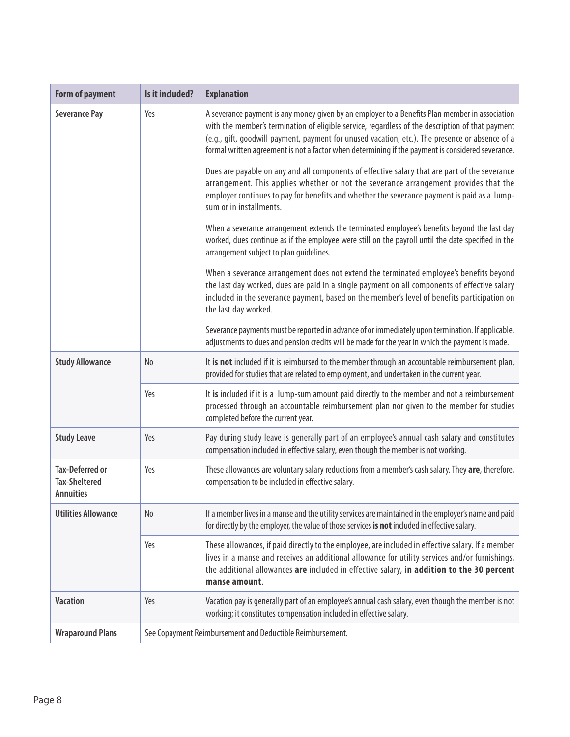| Form of payment                                                    | Is it included?                                           | <b>Explanation</b>                                                                                                                                                                                                                                                                                                                                                                                         |
|--------------------------------------------------------------------|-----------------------------------------------------------|------------------------------------------------------------------------------------------------------------------------------------------------------------------------------------------------------------------------------------------------------------------------------------------------------------------------------------------------------------------------------------------------------------|
| <b>Severance Pay</b>                                               | Yes                                                       | A severance payment is any money given by an employer to a Benefits Plan member in association<br>with the member's termination of eligible service, regardless of the description of that payment<br>(e.g., gift, goodwill payment, payment for unused vacation, etc.). The presence or absence of a<br>formal written agreement is not a factor when determining if the payment is considered severance. |
|                                                                    |                                                           | Dues are payable on any and all components of effective salary that are part of the severance<br>arrangement. This applies whether or not the severance arrangement provides that the<br>employer continues to pay for benefits and whether the severance payment is paid as a lump-<br>sum or in installments.                                                                                            |
|                                                                    |                                                           | When a severance arrangement extends the terminated employee's benefits beyond the last day<br>worked, dues continue as if the employee were still on the payroll until the date specified in the<br>arrangement subject to plan guidelines.                                                                                                                                                               |
|                                                                    |                                                           | When a severance arrangement does not extend the terminated employee's benefits beyond<br>the last day worked, dues are paid in a single payment on all components of effective salary<br>included in the severance payment, based on the member's level of benefits participation on<br>the last day worked.                                                                                              |
|                                                                    |                                                           | Severance payments must be reported in advance of or immediately upon termination. If applicable,<br>adjustments to dues and pension credits will be made for the year in which the payment is made.                                                                                                                                                                                                       |
| <b>Study Allowance</b>                                             | No                                                        | It is not included if it is reimbursed to the member through an accountable reimbursement plan,<br>provided for studies that are related to employment, and undertaken in the current year.                                                                                                                                                                                                                |
|                                                                    | Yes                                                       | It is included if it is a lump-sum amount paid directly to the member and not a reimbursement<br>processed through an accountable reimbursement plan nor given to the member for studies<br>completed before the current year.                                                                                                                                                                             |
| <b>Study Leave</b>                                                 | Yes                                                       | Pay during study leave is generally part of an employee's annual cash salary and constitutes<br>compensation included in effective salary, even though the member is not working.                                                                                                                                                                                                                          |
| <b>Tax-Deferred or</b><br><b>Tax-Sheltered</b><br><b>Annuities</b> | Yes                                                       | These allowances are voluntary salary reductions from a member's cash salary. They are, therefore,<br>compensation to be included in effective salary.                                                                                                                                                                                                                                                     |
| <b>Utilities Allowance</b>                                         | No                                                        | If a member lives in a manse and the utility services are maintained in the employer's name and paid<br>for directly by the employer, the value of those services is not included in effective salary.                                                                                                                                                                                                     |
|                                                                    | Yes                                                       | These allowances, if paid directly to the employee, are included in effective salary. If a member<br>lives in a manse and receives an additional allowance for utility services and/or furnishings,<br>the additional allowances are included in effective salary, in addition to the 30 percent<br>manse amount.                                                                                          |
| <b>Vacation</b>                                                    | Yes                                                       | Vacation pay is generally part of an employee's annual cash salary, even though the member is not<br>working; it constitutes compensation included in effective salary.                                                                                                                                                                                                                                    |
| <b>Wraparound Plans</b>                                            | See Copayment Reimbursement and Deductible Reimbursement. |                                                                                                                                                                                                                                                                                                                                                                                                            |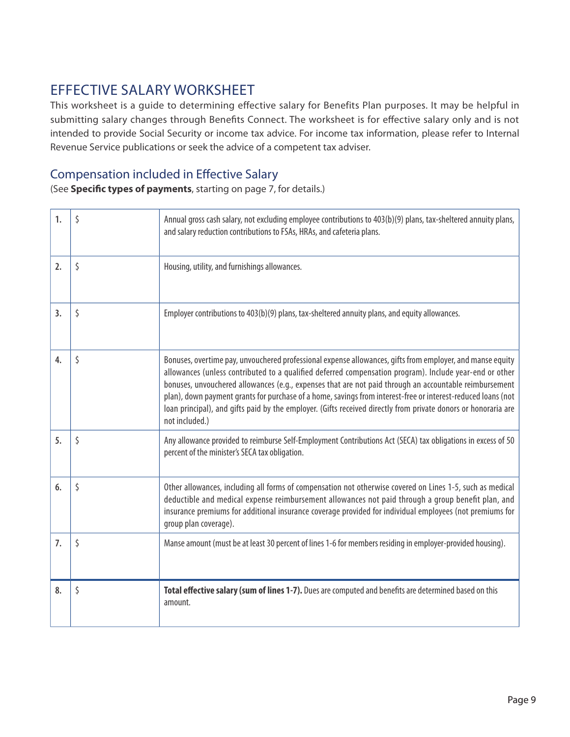### EFFECTIVE SALARY WORKSHEET

This worksheet is a guide to determining effective salary for Benefits Plan purposes. It may be helpful in submitting salary changes through Benefits Connect. The worksheet is for effective salary only and is not intended to provide Social Security or income tax advice. For income tax information, please refer to Internal Revenue Service publications or seek the advice of a competent tax adviser.

#### Compensation included in Effective Salary

(See **Specific types of payments**, starting on page 7, for details.)

| 1. | \$<br>Annual gross cash salary, not excluding employee contributions to 403(b)(9) plans, tax-sheltered annuity plans,<br>and salary reduction contributions to FSAs, HRAs, and cafeteria plans.                                                                                                                                                                                                                                                                                                                                                                                          |
|----|------------------------------------------------------------------------------------------------------------------------------------------------------------------------------------------------------------------------------------------------------------------------------------------------------------------------------------------------------------------------------------------------------------------------------------------------------------------------------------------------------------------------------------------------------------------------------------------|
| 2. | \$<br>Housing, utility, and furnishings allowances.                                                                                                                                                                                                                                                                                                                                                                                                                                                                                                                                      |
| 3. | \$<br>Employer contributions to 403(b)(9) plans, tax-sheltered annuity plans, and equity allowances.                                                                                                                                                                                                                                                                                                                                                                                                                                                                                     |
| 4. | \$<br>Bonuses, overtime pay, unvouchered professional expense allowances, gifts from employer, and manse equity<br>allowances (unless contributed to a qualified deferred compensation program). Include year-end or other<br>bonuses, unvouchered allowances (e.g., expenses that are not paid through an accountable reimbursement<br>plan), down payment grants for purchase of a home, savings from interest-free or interest-reduced loans (not<br>loan principal), and gifts paid by the employer. (Gifts received directly from private donors or honoraria are<br>not included.) |
| 5. | \$<br>Any allowance provided to reimburse Self-Employment Contributions Act (SECA) tax obligations in excess of 50<br>percent of the minister's SECA tax obligation.                                                                                                                                                                                                                                                                                                                                                                                                                     |
| 6. | \$<br>Other allowances, including all forms of compensation not otherwise covered on Lines 1-5, such as medical<br>deductible and medical expense reimbursement allowances not paid through a group benefit plan, and<br>insurance premiums for additional insurance coverage provided for individual employees (not premiums for<br>group plan coverage).                                                                                                                                                                                                                               |
| 7. | \$<br>Manse amount (must be at least 30 percent of lines 1-6 for members residing in employer-provided housing).                                                                                                                                                                                                                                                                                                                                                                                                                                                                         |
| 8. | \$<br>Total effective salary (sum of lines 1-7). Dues are computed and benefits are determined based on this<br>amount.                                                                                                                                                                                                                                                                                                                                                                                                                                                                  |